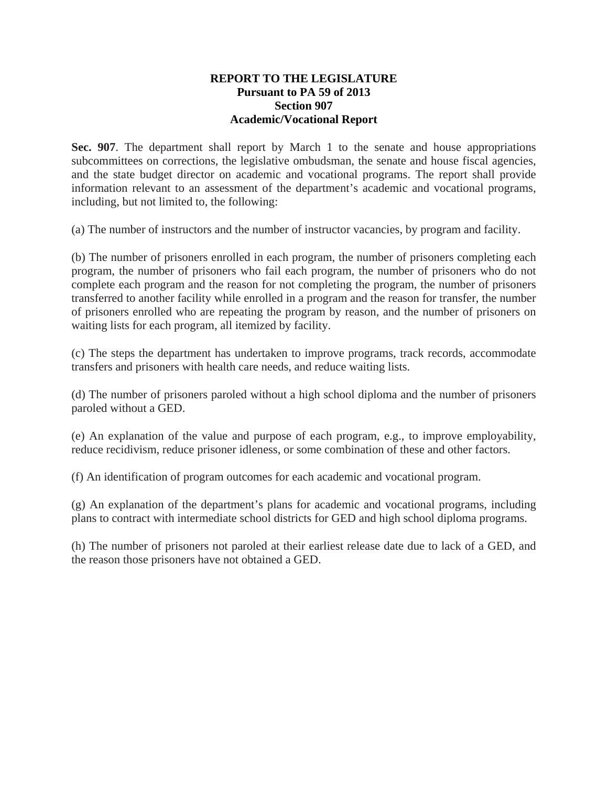#### **REPORT TO THE LEGISLATURE Pursuant to PA 59 of 2013 Section 907 Academic/Vocational Report**

**Sec. 907**. The department shall report by March 1 to the senate and house appropriations subcommittees on corrections, the legislative ombudsman, the senate and house fiscal agencies, and the state budget director on academic and vocational programs. The report shall provide information relevant to an assessment of the department's academic and vocational programs, including, but not limited to, the following:

(a) The number of instructors and the number of instructor vacancies, by program and facility.

(b) The number of prisoners enrolled in each program, the number of prisoners completing each program, the number of prisoners who fail each program, the number of prisoners who do not complete each program and the reason for not completing the program, the number of prisoners transferred to another facility while enrolled in a program and the reason for transfer, the number of prisoners enrolled who are repeating the program by reason, and the number of prisoners on waiting lists for each program, all itemized by facility.

(c) The steps the department has undertaken to improve programs, track records, accommodate transfers and prisoners with health care needs, and reduce waiting lists.

(d) The number of prisoners paroled without a high school diploma and the number of prisoners paroled without a GED.

(e) An explanation of the value and purpose of each program, e.g., to improve employability, reduce recidivism, reduce prisoner idleness, or some combination of these and other factors.

(f) An identification of program outcomes for each academic and vocational program.

(g) An explanation of the department's plans for academic and vocational programs, including plans to contract with intermediate school districts for GED and high school diploma programs.

(h) The number of prisoners not paroled at their earliest release date due to lack of a GED, and the reason those prisoners have not obtained a GED.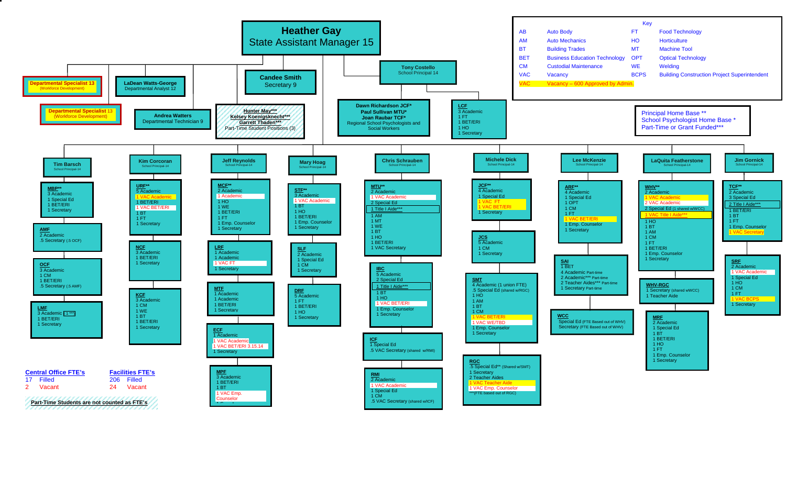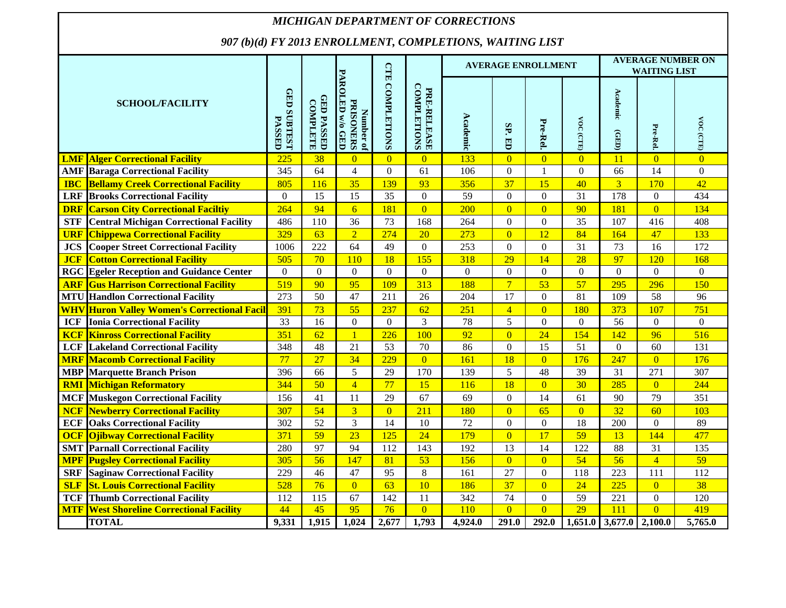#### *MICHIGAN DEPARTMENT OF CORRECTIONS907 (b)(d) FY 2013 ENROLLMENT, COMPLETIONS, WAITING LIST* **AVERAGE NUMBER ON WAITING LISTAVERAGE ENROLLMENTGTE CTE COMPLETIONS Number of PARIONERS**<br>PAROLED w/o GED<br>PAROLED w/o GED **PAROLED w/o GED** PRE-RELEASE<br>COMPLETIONS **COMPLETIONS COMPLETIONS GED SUBTEST GED SUBTEST PRE-RELEASE**  Academic **Academic (GED) GED PASSED**<br>COMPLETE **GED PASSED SCHOOL/FACILITYCOMPLETE PRISONERS AcademicPASSED** VOC (CTE) **Pre-Rel. VOC (CTE)** VOC (CTE) **VOC (CTE) SP. ED Pre-Rel.**  $(TED)$ **LMF Alger Correctional Facility** 225 38 0 0 0 133 0 0 0 11 0 0 **AMF Baraga Correctional Facility** 345 64 4 0 61 106 0 1 0 66 14 0 **IBC** Bellamy Creek Correctional Facility | 805 | 116 | 35 | 139 | 93 | 356 | 37 | 15 | 40 | 3 | 170 | 42 **LRF Brooks Correctional Facility** 0 15 15 35 0 59 0 0 31 178 0 434 **DRF Carson City Correctional Faciltiy** 264 94 6 181 0 200 0 0 90 181 0 134 **STF** Central Michigan Correctional Facility | 486 | 110 | 36 | 73 | 168 | 264 | 0 | 0 | 35 | 107 | 416 | 408 **URF Chippewa Correctional Facility** 329 63 2 274 20 273 0 12 84 164 47 133 **JCS** Cooper Street Correctional Facility 1006 222 64 49 0 253 0 0 31 73 16 172 **JCF Cotton Correctional Facility 505 1 10 10 18 155 1 318 129 14 28 127 120 168 RGC Egeler Reception and Guidance Center** 00000 0 00 0 0 0 0 **ARF Gus Harrison Correctional Facility** 519 90 95 109 313 188 7 53 57 295 296 150 **MTU Handlon Correctional Facility** 273 50 47 211 26 204 17 0 81 109 58 96 **WHV Huron Valley Women's Correctional Facili** 391 73 55 237 62 251 4 0 180 373 107 751 **ICF Ionia Correctional Facility** 1 33 16 0 0 0 3 78 5 0 0 0 56 0 0 0 0 **KCF Kinross Correctional Facility** 351 62 1 226 100 92 0 24 154 142 96 516 **LCF** Lakeland Correctional Facility 348 48 21 53 70 86 0 15 51 0 60 131 **MRF Macomb Correctional Facility** 77 27 34 229 0 161 18 0 176 247 0 176 **MBP Marquette Branch Prison** 396 66 5 29 170 139 5 48 39 31 271 307 **RMI Michigan Reformatory** 344 50 4 77 15 116 18 0 30 285 0 244 **MCF Muskegon Correctional Facility** 156 41 11 29 67 69 0 14 61 90 79 351 **NCF Newberry Correctional Facility** 307 54 3 0 211 180 0 65 0 32 60 103 **ECF** | Oaks Correctional Facility | 302 | 52 | 3 | 14 | 10 | 72 | 0 | 0 | 18 | 200 | 0 | 89 **OCF** | Oilbway Correctional Facility | 371 | 59 | 23 | 125 | 24 | 179 | 0 | 17 | 59 | 13 | 144 | 477 **SMT Parnall Correctional Facility** 280 97 94 112 143 192 13 14 122 88 31 135 **MPF Pugsley Correctional Facility** 305 56 147 81 53 156 0 0 54 56 4 59 **SRF** Saginaw Correctional Facility 229 46 47 95 8 161 27 0 118 223 111 112 **SLF** St. Louis Correctional Facility **528** 76 0 63 10 186 37 0 24 225 0 38 **TCF Thumb Correctional Facility** 112 115 67 142 11 342 74 0 59 221 0 120 **MTF** West Shoreline Correctional Facility 1 44 45 95 76 0 110 0 0 29 111 0 419 **TOTAL 9,331 1,915 1,024 2,677 1,793 4,924.0 291.0 292.0 1,651.0 3,677.0 2,100.0 5,765.0**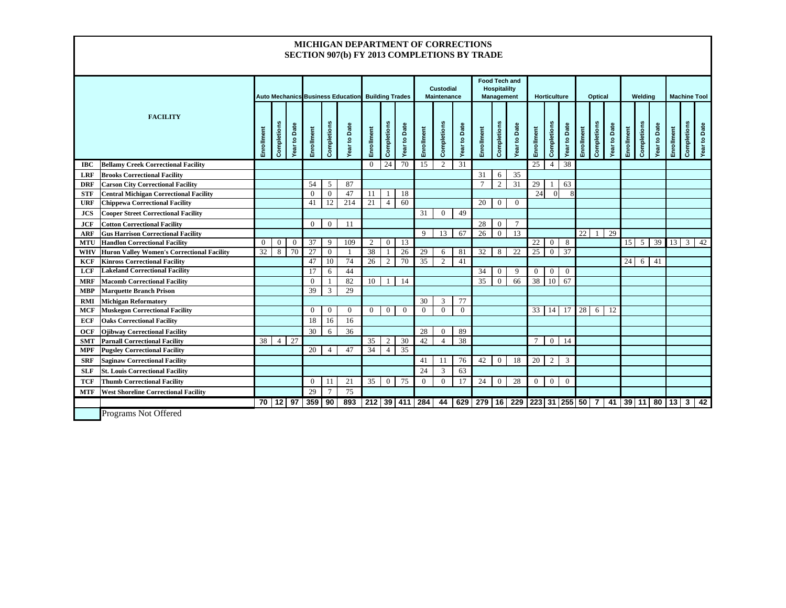#### **MICHIGAN DEPARTMENT OF CORRECTIONSSECTION 907(b) FY 2013 COMPLETIONS BY TRADE**

|            |                                                   |            |                                                   |                |                 |                |              |              |                  |                    |              |                |                     |            | <b>Food Tech and</b> |                |               |                  |             |            |                |                     |                 |                     |              |            |             |                     |
|------------|---------------------------------------------------|------------|---------------------------------------------------|----------------|-----------------|----------------|--------------|--------------|------------------|--------------------|--------------|----------------|---------------------|------------|----------------------|----------------|---------------|------------------|-------------|------------|----------------|---------------------|-----------------|---------------------|--------------|------------|-------------|---------------------|
|            |                                                   |            | Auto Mechanics Business Education Building Trades |                |                 |                |              |              | <b>Custodial</b> |                    | Hospitalilty |                |                     |            |                      |                |               |                  |             |            |                |                     |                 |                     |              |            |             |                     |
|            |                                                   |            |                                                   |                |                 |                |              |              |                  | <b>Maintenance</b> |              |                | <b>Management</b>   |            | <b>Horticulture</b>  |                |               | <b>Optical</b>   |             |            | Welding        |                     |                 | <b>Machine Tool</b> |              |            |             |                     |
|            |                                                   |            |                                                   |                |                 |                |              |              |                  |                    |              |                |                     |            |                      |                |               |                  |             |            |                |                     |                 |                     |              |            |             |                     |
|            | <b>FACILITY</b>                                   |            |                                                   |                |                 |                |              |              |                  |                    |              |                |                     |            |                      |                |               |                  |             |            |                |                     |                 |                     |              |            |             |                     |
|            |                                                   |            |                                                   | Date           |                 |                |              |              |                  | Date               |              |                |                     |            |                      |                |               |                  | Date        |            |                |                     |                 |                     |              |            |             |                     |
|            |                                                   |            |                                                   |                |                 |                |              |              |                  |                    |              |                |                     |            |                      |                |               |                  |             |            |                |                     |                 |                     |              |            |             |                     |
|            |                                                   | Enrollment | Completions                                       | Year to        | Enrollment      | Completions    | Year to Date | Enrollment   | Completions      | Year to            | Enrollment   | Completions    | <b>Year to Date</b> | Enrollment | Completions          | Year to Date   | Enrollment    | Completions      | Year to     | Enrollment | Completion     | <b>Year to Date</b> | Enrollment      | Completions         | Year to Date | Enrollment | Completions | <b>Year to Date</b> |
| IBC        | <b>Bellamy Creek Correctional Facility</b>        |            |                                                   |                |                 |                |              | $\mathbf{0}$ | 24               | 70                 | 15           | $\overline{2}$ | 31                  |            |                      |                | 25            | 4                | 38          |            |                |                     |                 |                     |              |            |             |                     |
| <b>LRF</b> | <b>Brooks Correctional Facility</b>               |            |                                                   |                |                 |                |              |              |                  |                    |              |                |                     | 31         | 6                    | 35             |               |                  |             |            |                |                     |                 |                     |              |            |             |                     |
| <b>DRF</b> | <b>Carson City Correctional Facility</b>          |            |                                                   |                | 54              | 5              | 87           |              |                  |                    |              |                |                     |            | 2                    | 31             | 29            |                  | 63          |            |                |                     |                 |                     |              |            |             |                     |
| <b>STF</b> | <b>Central Michigan Correctional Facility</b>     |            |                                                   |                | $\Omega$        | $\Omega$       | 47           | 11           |                  | 18                 |              |                |                     |            |                      |                | 24            | $\Omega$         |             |            |                |                     |                 |                     |              |            |             |                     |
| <b>URF</b> | <b>Chippewa Correctional Facility</b>             |            |                                                   |                | 41              | 12             | 214          | 21           | $\overline{4}$   | 60                 |              |                |                     | 20         | $\boldsymbol{0}$     | $\Omega$       |               |                  |             |            |                |                     |                 |                     |              |            |             |                     |
| <b>JCS</b> | <b>Cooper Street Correctional Facility</b>        |            |                                                   |                |                 |                |              |              |                  |                    | 31           | $\Omega$       | 49                  |            |                      |                |               |                  |             |            |                |                     |                 |                     |              |            |             |                     |
| JCF        | <b>Cotton Correctional Facility</b>               |            |                                                   |                | $\overline{0}$  | $\bf{0}$       | 11           |              |                  |                    |              |                |                     | 28         | $\overline{0}$       | $\overline{7}$ |               |                  |             |            |                |                     |                 |                     |              |            |             |                     |
| <b>ARF</b> | <b>Gus Harrison Correctional Facility</b>         |            |                                                   |                |                 |                |              |              |                  |                    | $\mathbf Q$  | 13             | 67                  | 26         | $\boldsymbol{0}$     | 13             |               |                  |             | 22         |                | 29                  |                 |                     |              |            |             |                     |
| <b>MTU</b> | <b>Handlon Correctional Facility</b>              | $\Omega$   | $\mathbf{0}$                                      | $\overline{0}$ | 37              | 9              | 109          | 2            | $\mathbf{0}$     | 13                 |              |                |                     |            |                      |                | 22            | $\mathbf{0}$     | 8           |            |                |                     | 15 <sup>1</sup> | 5                   | 39           | 13         | 3           | 42                  |
| WHV        | <b>Huron Valley Women's Correctional Facility</b> | 32         | 8                                                 | 70             | $\overline{27}$ | $\overline{0}$ |              | 38           |                  | 26                 | 29           | 6              | 81                  | 32         | 8                    | 22             | 25            | $\mathbf{0}$     | 37          |            |                |                     |                 |                     |              |            |             |                     |
| KCF        | <b>Kinross Correctional Facility</b>              |            |                                                   |                | 47              | 10             | 74           | 26           | 2                | 70                 | 35           | $\overline{2}$ | 41                  |            |                      |                |               |                  |             |            |                |                     | 24              | 6                   | 41           |            |             |                     |
| <b>LCF</b> | <b>Lakeland Correctional Facility</b>             |            |                                                   |                | 17              | 6              | 44           |              |                  |                    |              |                |                     | 34         | $\overline{0}$       | $\mathbf{Q}$   | $\theta$      | $\mathbf{0}$     | $\Omega$    |            |                |                     |                 |                     |              |            |             |                     |
| <b>MRF</b> | <b>Macomb Correctional Facility</b>               |            |                                                   |                | $\Omega$        |                | 82           | 10           |                  | 14                 |              |                |                     | 35         | $\boldsymbol{0}$     | 66             | 38            | 10 <sup>1</sup>  | 67          |            |                |                     |                 |                     |              |            |             |                     |
| <b>MBP</b> | <b>Marquette Branch Prison</b>                    |            |                                                   |                | 39              | 3              | 29           |              |                  |                    |              |                |                     |            |                      |                |               |                  |             |            |                |                     |                 |                     |              |            |             |                     |
| <b>RMI</b> | <b>Michigan Reformatory</b>                       |            |                                                   |                |                 |                |              |              |                  |                    | 30           | 3              | 77                  |            |                      |                |               |                  |             |            |                |                     |                 |                     |              |            |             |                     |
| MCF        | <b>Muskegon Correctional Facility</b>             |            |                                                   |                | $\Omega$        | $\mathbf{0}$   | $\Omega$     | $\Omega$     | $\overline{0}$   | $\Omega$           | $\Omega$     | $\Omega$       | $\Omega$            |            |                      |                | 33            | 14               | 17          | 28         | 6              | 12                  |                 |                     |              |            |             |                     |
| ECF        | <b>Oaks Correctional Facility</b>                 |            |                                                   |                | 18              | 16             | 16           |              |                  |                    |              |                |                     |            |                      |                |               |                  |             |            |                |                     |                 |                     |              |            |             |                     |
| <b>OCF</b> | <b>Ojibway Correctional Facility</b>              |            |                                                   |                | 30              | 6              | 36           |              |                  |                    | 28           | $\Omega$       | 89                  |            |                      |                |               |                  |             |            |                |                     |                 |                     |              |            |             |                     |
| <b>SMT</b> | <b>Parnall Correctional Facility</b>              | 38         | $\overline{4}$                                    | 27             |                 |                |              | 35           | 2                | 30                 | 42           | $\overline{4}$ | 38                  |            |                      |                | $\tau$        |                  | $0 \mid 14$ |            |                |                     |                 |                     |              |            |             |                     |
| <b>MPF</b> | <b>Pugsley Correctional Facility</b>              |            |                                                   |                | 20              | $\overline{4}$ | 47           | 34           | $\overline{4}$   | 35                 |              |                |                     |            |                      |                |               |                  |             |            |                |                     |                 |                     |              |            |             |                     |
| <b>SRF</b> | <b>Saginaw Correctional Facility</b>              |            |                                                   |                |                 |                |              |              |                  |                    | 41           | 11             | 76                  | 42         | $\boldsymbol{0}$     | 18             | 20            | $\overline{c}$   | 3           |            |                |                     |                 |                     |              |            |             |                     |
| <b>SLF</b> | <b>St. Louis Correctional Facility</b>            |            |                                                   |                |                 |                |              |              |                  |                    | 24           | 3              | 63                  |            |                      |                |               |                  |             |            |                |                     |                 |                     |              |            |             |                     |
| TCF        | <b>Thumb Correctional Facility</b>                |            |                                                   |                | $\Omega$        | 11             | 21           | 35           | $\boldsymbol{0}$ | 75                 | $\Omega$     | $\theta$       | 17                  | 24         | $\mathbf{0}$         | 28             | $\theta$      | $\boldsymbol{0}$ | $\theta$    |            |                |                     |                 |                     |              |            |             |                     |
| <b>MTF</b> | <b>West Shoreline Correctional Facility</b>       |            |                                                   |                | 29              | $\tau$         | 75           |              |                  |                    |              |                |                     |            |                      |                |               |                  |             |            |                |                     |                 |                     |              |            |             |                     |
|            |                                                   | 70         | 12                                                | 97             | 359             | 90             | 893          | 212          |                  | $39$ 411           | 284          | 44             | 629                 | 279        | 16                   | 229            | 223 31 255 50 |                  |             |            | $\overline{7}$ | 41                  | $39$ 11 80      |                     |              | 13         | 3           | 42                  |
|            | $\overline{a}$<br>$\mathbf{r}$<br>$\sim$ $\sim$   |            |                                                   |                |                 |                |              |              |                  |                    |              |                |                     |            |                      |                |               |                  |             |            |                |                     |                 |                     |              |            |             |                     |

Programs Not Offered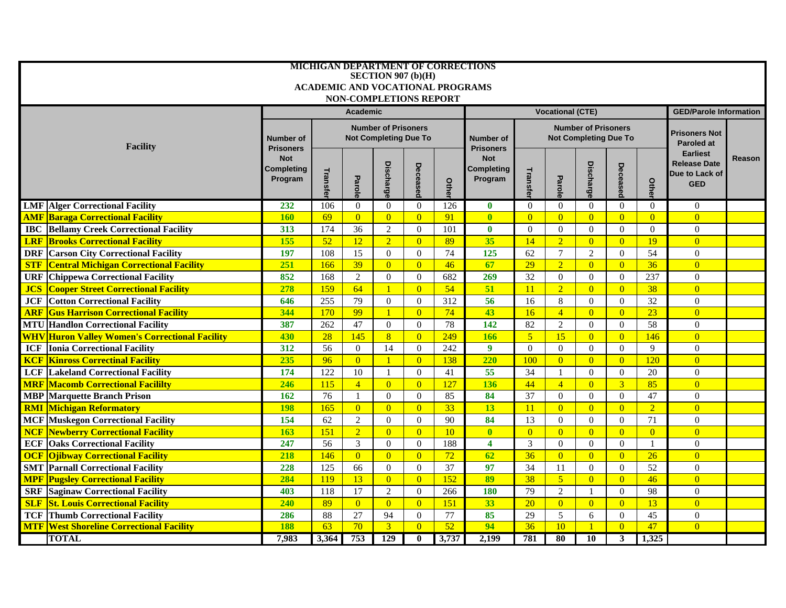|                                                             | MICHIGAN DEPARTMENT OF CORRECTIONS<br>SECTION 907 $(b)(H)$ |                                                                                |                 |                 |                |       |                                     |                         |                |                                                            |                      |                |                                      |        |
|-------------------------------------------------------------|------------------------------------------------------------|--------------------------------------------------------------------------------|-----------------|-----------------|----------------|-------|-------------------------------------|-------------------------|----------------|------------------------------------------------------------|----------------------|----------------|--------------------------------------|--------|
| <b>ACADEMIC AND VOCATIONAL PROGRAMS</b>                     |                                                            |                                                                                |                 |                 |                |       |                                     |                         |                |                                                            |                      |                |                                      |        |
| <b>NON-COMPLETIONS REPORT</b>                               |                                                            |                                                                                |                 |                 |                |       |                                     |                         |                |                                                            |                      |                |                                      |        |
|                                                             |                                                            |                                                                                | <b>Academic</b> |                 |                |       |                                     | <b>Vocational (CTE)</b> |                | <b>GED/Parole Information</b>                              |                      |                |                                      |        |
|                                                             |                                                            |                                                                                |                 |                 |                |       |                                     |                         |                |                                                            |                      |                |                                      |        |
|                                                             | <b>Number of</b>                                           | <b>Number of Prisoners</b><br><b>Not Completing Due To</b><br><b>Number of</b> |                 |                 |                |       |                                     |                         |                | <b>Number of Prisoners</b><br><b>Not Completing Due To</b> | <b>Prisoners Not</b> |                |                                      |        |
| <b>Facility</b>                                             | <b>Prisoners</b>                                           |                                                                                |                 |                 |                |       | <b>Prisoners</b>                    |                         |                |                                                            |                      |                | <b>Paroled at</b><br><b>Earliest</b> |        |
|                                                             | <b>Not</b>                                                 |                                                                                |                 |                 | Decease        |       | <b>Not</b><br>Completing<br>Program |                         |                |                                                            |                      |                | <b>Release Date</b>                  | Reason |
|                                                             | Completing<br>Program                                      |                                                                                |                 |                 |                |       |                                     |                         |                |                                                            |                      |                | Due to Lack of                       |        |
|                                                             |                                                            | Transfel                                                                       | Parol           | <b>Discharg</b> |                | Othel |                                     | Transfel                | Parole         | <b>Discharge</b>                                           | Decease              | Othe           | <b>GED</b>                           |        |
| <b>LMF</b> Alger Correctional Facility                      | 232                                                        | 106                                                                            | $\theta$        | $\Omega$        | $\overline{0}$ | 126   | $\bf{0}$                            | $\Omega$                | $\theta$       | $\theta$                                                   | $\Omega$             | $\theta$       | $\Omega$                             |        |
| <b>AMF Baraga Correctional Facility</b>                     | <b>160</b>                                                 | 69                                                                             | $\overline{0}$  | $\overline{0}$  | $\overline{0}$ | 91    | $\overline{\mathbf{0}}$             | $\overline{0}$          | $\overline{0}$ | $\overline{0}$                                             | $\overline{0}$       | $\overline{0}$ | $\overline{0}$                       |        |
| <b>Bellamy Creek Correctional Facility</b><br>IBC           | 313                                                        | 174                                                                            | 36              | $\overline{2}$  | $\overline{0}$ | 101   | $\bf{0}$                            | $\mathbf{0}$            | $\mathbf{0}$   | $\mathbf{0}$                                               | $\overline{0}$       | $\mathbf{0}$   | $\mathbf{0}$                         |        |
| <b>Brooks Correctional Facility</b><br><b>LRF</b>           | 155                                                        | 52                                                                             | 12              | $\overline{2}$  | $\overline{0}$ | 89    | 35                                  | 14                      | $\overline{2}$ | $\overline{0}$                                             | $\overline{0}$       | 19             | $\overline{0}$                       |        |
| <b>DRF</b> Carson City Correctional Facility                | 197                                                        | 108                                                                            | 15              | $\Omega$        | $\overline{0}$ | 74    | 125                                 | 62                      | $\tau$         | $\mathbf{2}$                                               | $\Omega$             | 54             | $\Omega$                             |        |
| <b>STF</b><br><b>Central Michigan Correctional Facility</b> | 251                                                        | 166                                                                            | $\overline{39}$ | $\overline{0}$  | $\overline{0}$ | 46    | 67                                  | 29                      | $\overline{2}$ | $\overline{0}$                                             | $\overline{0}$       | 36             | $\overline{0}$                       |        |
| <b>URF</b><br><b>Chippewa Correctional Facility</b>         | 852                                                        | 168                                                                            | $\overline{2}$  | $\Omega$        | $\overline{0}$ | 682   | 269                                 | 32                      | $\theta$       | $\theta$                                                   | $\theta$             | 237            | $\Omega$                             |        |
| <b>Cooper Street Correctional Facility</b><br><b>JCS</b>    | 278                                                        | 159                                                                            | 64              | $\mathbf{1}$    | $\overline{0}$ | 54    | 51                                  | 11                      | $\overline{2}$ | $\overline{0}$                                             | $\overline{0}$       | 38             | $\overline{0}$                       |        |
| <b>Cotton Correctional Facility</b><br>JCF                  | 646                                                        | 255                                                                            | 79              | $\Omega$        | $\Omega$       | 312   | 56                                  | 16                      | 8              | $\theta$                                                   | $\theta$             | 32             | $\mathbf{0}$                         |        |
| <b>Gus Harrison Correctional Facility</b><br><b>ARF</b>     | 344                                                        | 170                                                                            | 99              | $\mathbf{1}$    | $\overline{0}$ | 74    | 43                                  | 16                      | $\overline{4}$ | $\overline{0}$                                             | $\overline{0}$       | 23             | $\overline{0}$                       |        |
| <b>MTU</b> Handlon Correctional Facility                    | 387                                                        | 262                                                                            | 47              | $\Omega$        | $\overline{0}$ | 78    | 142                                 | 82                      | 2              | $\theta$                                                   | $\theta$             | 58             | $\overline{0}$                       |        |
| <b>WHV Huron Valley Women's Correctional Facility</b>       | 430                                                        | 28                                                                             | 145             | $\overline{8}$  | $\overline{0}$ | 249   | 166                                 | 5 <sup>1</sup>          | 15             | $\overline{0}$                                             | $\overline{0}$       | 146            | $\overline{0}$                       |        |
| <b>Ionia Correctional Facility</b><br><b>ICF</b>            | 312                                                        | 56                                                                             | $\mathbf{0}$    | 14              | $\overline{0}$ | 242   | $\boldsymbol{9}$                    | $\mathbf{0}$            | $\mathbf{0}$   | $\mathbf{0}$                                               | $\Omega$             | 9              | $\overline{0}$                       |        |
| <b>Kinross Correctinal Facility</b><br><b>KCF</b>           | 235                                                        | 96                                                                             | $\overline{0}$  |                 | $\overline{0}$ | 138   | 220                                 | 100                     | $\overline{0}$ | $\overline{0}$                                             | $\overline{0}$       | 120            | $\overline{0}$                       |        |
| <b>LCF</b><br><b>Lakeland Correctional Facility</b>         | 174                                                        | 122                                                                            | $10\,$          |                 | $\Omega$       | 41    | 55                                  | 34                      | $\mathbf{1}$   | $\Omega$                                                   | $\Omega$             | 20             | $\Omega$                             |        |
| <b>MRF</b> Macomb Correctional Facililty                    | 246                                                        | 115                                                                            | $\overline{4}$  | $\overline{0}$  | $\overline{0}$ | 127   | 136                                 | 44                      | $\overline{4}$ | $\overline{0}$                                             | $\overline{3}$       | 85             | $\overline{0}$                       |        |
| <b>MBP</b> Marquette Branch Prison                          | 162                                                        | 76                                                                             | 1               | $\overline{0}$  | $\overline{0}$ | 85    | 84                                  | 37                      | $\theta$       | $\overline{0}$                                             | $\theta$             | 47             | $\overline{0}$                       |        |
| <b>RMI Michigan Reformatory</b>                             | <b>198</b>                                                 | 165                                                                            | $\overline{0}$  | $\overline{0}$  | $\overline{0}$ | 33    | 13                                  | 11                      | $\overline{0}$ | $\overline{0}$                                             | $\overline{0}$       | $\overline{2}$ | $\overline{0}$                       |        |
| <b>MCF</b> Muskegon Correctional Facility                   | 154                                                        | 62                                                                             | $\overline{2}$  | $\Omega$        | $\overline{0}$ | 90    | 84                                  | 13                      | $\theta$       | $\theta$                                                   | $\theta$             | 71             | $\overline{0}$                       |        |
| <b>Newberry Correctional Facility</b><br><b>NCF</b>         | 163                                                        | 151                                                                            | $\overline{2}$  | $\overline{0}$  | $\overline{0}$ | 10    | $\overline{\mathbf{0}}$             | $\overline{0}$          | $\overline{0}$ | $\overline{0}$                                             | $\overline{0}$       | $\overline{0}$ | $\overline{0}$                       |        |
| <b>Oaks Correctional Facility</b><br><b>ECF</b>             | 247                                                        | 56                                                                             | 3               | $\mathbf{0}$    | $\mathbf{0}$   | 188   | $\overline{\mathbf{4}}$             | $\mathfrak{Z}$          | $\mathbf{0}$   | $\mathbf{0}$                                               | $\overline{0}$       | $\mathbf{1}$   | $\mathbf{0}$                         |        |
| <b>Ojibway Correctional Facility</b><br>$\overline{OCF}$    | 218                                                        | 146                                                                            | $\overline{0}$  | $\overline{0}$  | $\overline{0}$ | 72    | 62                                  | 36                      | $\overline{0}$ | $\overline{0}$                                             | $\overline{0}$       | 26             | $\overline{0}$                       |        |
| <b>SMT</b> Parnall Correctional Facility                    | 228                                                        | 125                                                                            | 66              | $\mathbf{0}$    | $\overline{0}$ | 37    | 97                                  | 34                      | 11             | $\overline{0}$                                             | $\overline{0}$       | 52             | $\overline{0}$                       |        |
| <b>MPF</b> Pugsley Correctional Facility                    | 284                                                        | 119                                                                            | 13              | $\overline{0}$  | $\overline{0}$ | 152   | 89                                  | 38                      | 5 <sup>5</sup> | $\overline{0}$                                             | $\overline{0}$       | 46             | $\overline{0}$                       |        |
| <b>Saginaw Correctional Facility</b><br><b>SRF</b>          | 403                                                        | 118                                                                            | 17              | 2               | $\Omega$       | 266   | 180                                 | 79                      | 2              | $\mathbf{1}$                                               | $\theta$             | 98             | $\Omega$                             |        |
| <b>SLF</b><br><b>St. Louis Correctional Facility</b>        | 240                                                        | 89                                                                             | $\overline{0}$  | $\overline{0}$  | $\overline{0}$ | 151   | 33                                  | 20                      | $\overline{0}$ | $\overline{0}$                                             | $\overline{0}$       | 13             | $\overline{0}$                       |        |
| <b>Thumb Correctional Facility</b><br><b>TCF</b>            | 286                                                        | 88                                                                             | 27              | 94              | $\theta$       | 77    | 85                                  | 29                      | 5              | 6                                                          | $\theta$             | 45             | $\Omega$                             |        |
| <b>MTF West Shoreline Correctional Facility</b>             | <b>188</b>                                                 | 63                                                                             | 70              | $\overline{3}$  | $\overline{0}$ | 52    | 94                                  | $\overline{36}$         | 10             | $\mathbf{1}$                                               | $\overline{0}$       | 47             | $\overline{0}$                       |        |
| <b>TOTAL</b>                                                | 7,983                                                      | 3,364                                                                          | 753             | 129             | $\bf{0}$       | 3,737 | 2,199                               | 781                     | 80             | 10                                                         | $\mathbf{3}$         | 1,325          |                                      |        |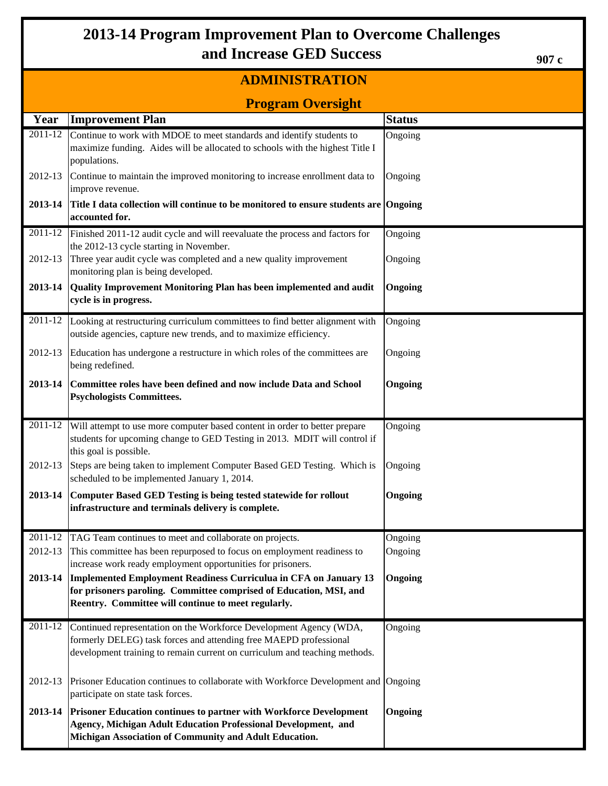# **2013-14 Program Improvement Plan to Overcome Challenges and Increase GED Success**

## **ADMINISTRATION**

**907 c**

|             | <b>Program Oversight</b>                                                                                                                                                                                              |               |  |  |  |  |  |  |  |
|-------------|-----------------------------------------------------------------------------------------------------------------------------------------------------------------------------------------------------------------------|---------------|--|--|--|--|--|--|--|
| Year        | <b>Improvement Plan</b>                                                                                                                                                                                               | <b>Status</b> |  |  |  |  |  |  |  |
| 2011-12     | Continue to work with MDOE to meet standards and identify students to<br>maximize funding. Aides will be allocated to schools with the highest Title I<br>populations.                                                | Ongoing       |  |  |  |  |  |  |  |
| 2012-13     | Continue to maintain the improved monitoring to increase enrollment data to<br>improve revenue.                                                                                                                       | Ongoing       |  |  |  |  |  |  |  |
| 2013-14     | Title I data collection will continue to be monitored to ensure students are Ongoing<br>accounted for.                                                                                                                |               |  |  |  |  |  |  |  |
| $2011 - 12$ | Finished 2011-12 audit cycle and will reevaluate the process and factors for                                                                                                                                          | Ongoing       |  |  |  |  |  |  |  |
| 2012-13     | the 2012-13 cycle starting in November.<br>Three year audit cycle was completed and a new quality improvement<br>monitoring plan is being developed.                                                                  | Ongoing       |  |  |  |  |  |  |  |
| 2013-14     | Quality Improvement Monitoring Plan has been implemented and audit<br>cycle is in progress.                                                                                                                           | Ongoing       |  |  |  |  |  |  |  |
| 2011-12     | Looking at restructuring curriculum committees to find better alignment with<br>outside agencies, capture new trends, and to maximize efficiency.                                                                     | Ongoing       |  |  |  |  |  |  |  |
| 2012-13     | Education has undergone a restructure in which roles of the committees are<br>being redefined.                                                                                                                        | Ongoing       |  |  |  |  |  |  |  |
| 2013-14     | Committee roles have been defined and now include Data and School<br><b>Psychologists Committees.</b>                                                                                                                 | Ongoing       |  |  |  |  |  |  |  |
|             | 2011-12 Will attempt to use more computer based content in order to better prepare<br>students for upcoming change to GED Testing in 2013. MDIT will control if<br>this goal is possible.                             | Ongoing       |  |  |  |  |  |  |  |
| 2012-13     | Steps are being taken to implement Computer Based GED Testing. Which is<br>scheduled to be implemented January 1, 2014.                                                                                               | Ongoing       |  |  |  |  |  |  |  |
| 2013-14     | Computer Based GED Testing is being tested statewide for rollout<br>infrastructure and terminals delivery is complete.                                                                                                | Ongoing       |  |  |  |  |  |  |  |
|             | 2011-12 TAG Team continues to meet and collaborate on projects.                                                                                                                                                       | Ongoing       |  |  |  |  |  |  |  |
| 2012-13     | This committee has been repurposed to focus on employment readiness to<br>increase work ready employment opportunities for prisoners.                                                                                 | Ongoing       |  |  |  |  |  |  |  |
| 2013-14     | Implemented Employment Readiness Curriculua in CFA on January 13<br>for prisoners paroling. Committee comprised of Education, MSI, and<br>Reentry. Committee will continue to meet regularly.                         | Ongoing       |  |  |  |  |  |  |  |
| 2011-12     | Continued representation on the Workforce Development Agency (WDA,<br>formerly DELEG) task forces and attending free MAEPD professional<br>development training to remain current on curriculum and teaching methods. | Ongoing       |  |  |  |  |  |  |  |
| 2012-13     | Prisoner Education continues to collaborate with Workforce Development and Ongoing<br>participate on state task forces.                                                                                               |               |  |  |  |  |  |  |  |
| 2013-14     | <b>Prisoner Education continues to partner with Workforce Development</b><br>Agency, Michigan Adult Education Professional Development, and<br>Michigan Association of Community and Adult Education.                 | Ongoing       |  |  |  |  |  |  |  |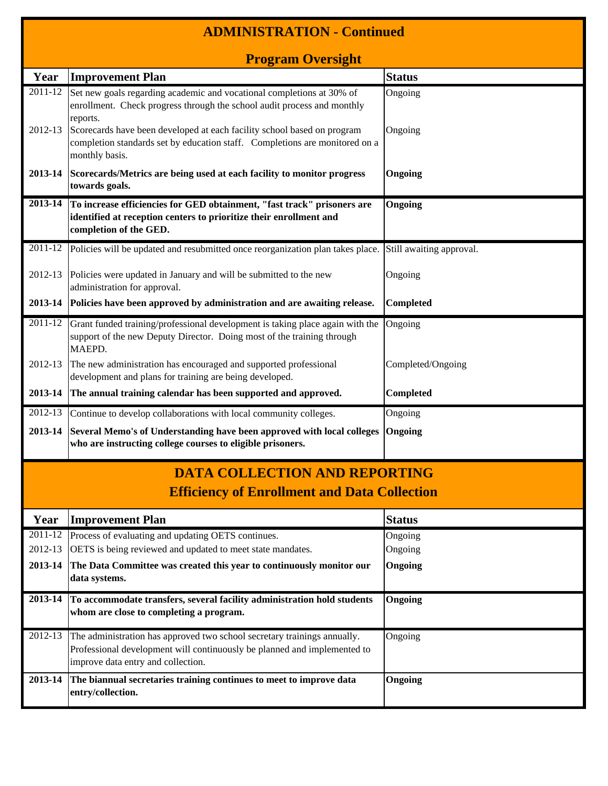|                                      | <b>ADMINISTRATION - Continued</b>                                                                                                                                                          |                   |  |  |  |  |  |  |  |
|--------------------------------------|--------------------------------------------------------------------------------------------------------------------------------------------------------------------------------------------|-------------------|--|--|--|--|--|--|--|
|                                      | <b>Program Oversight</b>                                                                                                                                                                   |                   |  |  |  |  |  |  |  |
| Year                                 | <b>Improvement Plan</b>                                                                                                                                                                    | <b>Status</b>     |  |  |  |  |  |  |  |
| $\overline{20}11-12$                 | Set new goals regarding academic and vocational completions at 30% of<br>enrollment. Check progress through the school audit process and monthly<br>reports.                               | Ongoing           |  |  |  |  |  |  |  |
| 2012-13                              | Scorecards have been developed at each facility school based on program<br>completion standards set by education staff. Completions are monitored on a<br>monthly basis.                   | Ongoing           |  |  |  |  |  |  |  |
| 2013-14                              | Scorecards/Metrics are being used at each facility to monitor progress<br>towards goals.                                                                                                   | Ongoing           |  |  |  |  |  |  |  |
| 2013-14                              | To increase efficiencies for GED obtainment, "fast track" prisoners are<br>identified at reception centers to prioritize their enrollment and<br>completion of the GED.                    | Ongoing           |  |  |  |  |  |  |  |
|                                      | 2011-12 Policies will be updated and resubmitted once reorganization plan takes place. Still awaiting approval.                                                                            |                   |  |  |  |  |  |  |  |
| 2012-13                              | Policies were updated in January and will be submitted to the new<br>administration for approval.                                                                                          | Ongoing           |  |  |  |  |  |  |  |
| 2013-14                              | Policies have been approved by administration and are awaiting release.                                                                                                                    | Completed         |  |  |  |  |  |  |  |
| 2011-12                              | Grant funded training/professional development is taking place again with the<br>support of the new Deputy Director. Doing most of the training through<br>MAEPD.                          | Ongoing           |  |  |  |  |  |  |  |
| 2012-13                              | The new administration has encouraged and supported professional<br>development and plans for training are being developed.                                                                | Completed/Ongoing |  |  |  |  |  |  |  |
| 2013-14                              | The annual training calendar has been supported and approved.                                                                                                                              | Completed         |  |  |  |  |  |  |  |
| 2012-13                              | Continue to develop collaborations with local community colleges.                                                                                                                          | Ongoing           |  |  |  |  |  |  |  |
| 2013-14                              | Several Memo's of Understanding have been approved with local colleges<br>who are instructing college courses to eligible prisoners.                                                       | Ongoing           |  |  |  |  |  |  |  |
| <b>DATA COLLECTION AND REPORTING</b> |                                                                                                                                                                                            |                   |  |  |  |  |  |  |  |
|                                      | <b>Efficiency of Enrollment and Data Collection</b>                                                                                                                                        |                   |  |  |  |  |  |  |  |
| Year                                 | <b>Improvement Plan</b>                                                                                                                                                                    | <b>Status</b>     |  |  |  |  |  |  |  |
| 2011-12                              | Process of evaluating and updating OETS continues.                                                                                                                                         | Ongoing           |  |  |  |  |  |  |  |
| 2012-13                              | OETS is being reviewed and updated to meet state mandates.                                                                                                                                 | Ongoing           |  |  |  |  |  |  |  |
| 2013-14                              | The Data Committee was created this year to continuously monitor our<br>data systems.                                                                                                      | Ongoing           |  |  |  |  |  |  |  |
| 2013-14                              | To accommodate transfers, several facility administration hold students<br>whom are close to completing a program.                                                                         | Ongoing           |  |  |  |  |  |  |  |
| 2012-13                              | The administration has approved two school secretary trainings annually.<br>Professional development will continuously be planned and implemented to<br>improve data entry and collection. | Ongoing           |  |  |  |  |  |  |  |
| 2013-14                              | The biannual secretaries training continues to meet to improve data<br>entry/collection.                                                                                                   | Ongoing           |  |  |  |  |  |  |  |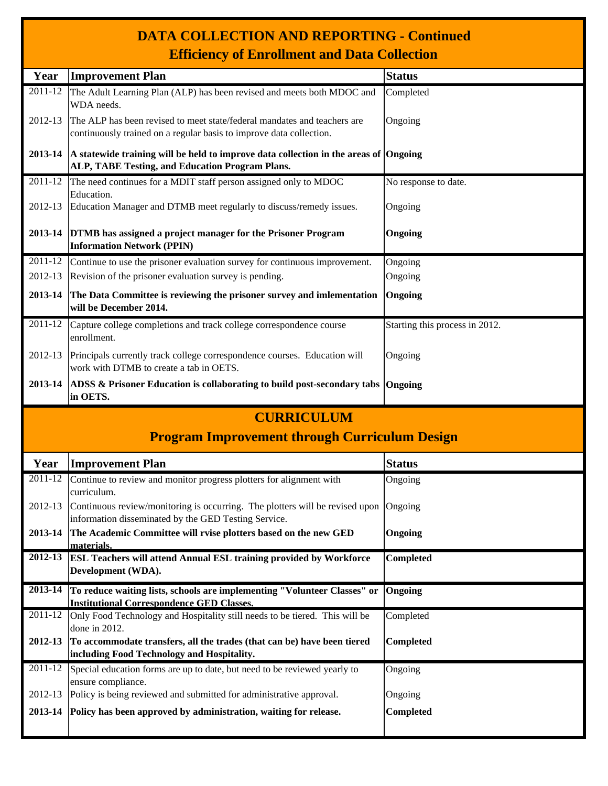| <b>DATA COLLECTION AND REPORTING - Continued</b>    |  |
|-----------------------------------------------------|--|
| <b>Efficiency of Enrollment and Data Collection</b> |  |

|         | <b>Efficiency of Enrollment and Data Collection</b>                                                                                             |                                |  |  |  |  |  |  |
|---------|-------------------------------------------------------------------------------------------------------------------------------------------------|--------------------------------|--|--|--|--|--|--|
| Year    | <b>Improvement Plan</b>                                                                                                                         | <b>Status</b>                  |  |  |  |  |  |  |
| 2011-12 | The Adult Learning Plan (ALP) has been revised and meets both MDOC and<br>WDA needs.                                                            | Completed                      |  |  |  |  |  |  |
| 2012-13 | The ALP has been revised to meet state/federal mandates and teachers are<br>continuously trained on a regular basis to improve data collection. | Ongoing                        |  |  |  |  |  |  |
| 2013-14 | A statewide training will be held to improve data collection in the areas of Ongoing<br>ALP, TABE Testing, and Education Program Plans.         |                                |  |  |  |  |  |  |
| 2011-12 | The need continues for a MDIT staff person assigned only to MDOC                                                                                | No response to date.           |  |  |  |  |  |  |
| 2012-13 | Education.<br>Education Manager and DTMB meet regularly to discuss/remedy issues.                                                               | Ongoing                        |  |  |  |  |  |  |
| 2013-14 | DTMB has assigned a project manager for the Prisoner Program<br><b>Information Network (PPIN)</b>                                               | Ongoing                        |  |  |  |  |  |  |
| 2011-12 | Continue to use the prisoner evaluation survey for continuous improvement.                                                                      | Ongoing                        |  |  |  |  |  |  |
| 2012-13 | Revision of the prisoner evaluation survey is pending.                                                                                          | Ongoing                        |  |  |  |  |  |  |
| 2013-14 | The Data Committee is reviewing the prisoner survey and imlementation<br>will be December 2014.                                                 | Ongoing                        |  |  |  |  |  |  |
| 2011-12 | Capture college completions and track college correspondence course<br>enrollment.                                                              | Starting this process in 2012. |  |  |  |  |  |  |
| 2012-13 | Principals currently track college correspondence courses. Education will<br>work with DTMB to create a tab in OETS.                            | Ongoing                        |  |  |  |  |  |  |
| 2013-14 | ADSS & Prisoner Education is collaborating to build post-secondary tabs<br>in OETS.                                                             | Ongoing                        |  |  |  |  |  |  |
|         | <b>CURRICULUM</b>                                                                                                                               |                                |  |  |  |  |  |  |
|         | <b>Program Improvement through Curriculum Design</b>                                                                                            |                                |  |  |  |  |  |  |
| Year    | <b>Improvement Plan</b>                                                                                                                         | <b>Status</b>                  |  |  |  |  |  |  |
| 2011-12 | Continue to review and monitor progress plotters for alignment with<br>curriculum.                                                              | Ongoing                        |  |  |  |  |  |  |
| 2012-13 | Continuous review/monitoring is occurring. The plotters will be revised upon<br>information disseminated by the GED Testing Service.            | Ongoing                        |  |  |  |  |  |  |
| 2013-14 | The Academic Committee will rvise plotters based on the new GED<br>materials.                                                                   | Ongoing                        |  |  |  |  |  |  |
| 2012-13 | <b>ESL Teachers will attend Annual ESL training provided by Workforce</b><br>Development (WDA).                                                 | Completed                      |  |  |  |  |  |  |
|         |                                                                                                                                                 |                                |  |  |  |  |  |  |
| 2013-14 | To reduce waiting lists, schools are implementing "Volunteer Classes" or<br><b>Institutional Correspondence GED Classes.</b>                    | Ongoing                        |  |  |  |  |  |  |
| 2011-12 | Only Food Technology and Hospitality still needs to be tiered. This will be                                                                     | Completed                      |  |  |  |  |  |  |
|         | done in 2012.                                                                                                                                   |                                |  |  |  |  |  |  |
| 2012-13 | To accommodate transfers, all the trades (that can be) have been tiered                                                                         | <b>Completed</b>               |  |  |  |  |  |  |
|         | including Food Technology and Hospitality.                                                                                                      |                                |  |  |  |  |  |  |
| 2011-12 | Special education forms are up to date, but need to be reviewed yearly to<br>ensure compliance.                                                 | Ongoing                        |  |  |  |  |  |  |
| 2012-13 | Policy is being reviewed and submitted for administrative approval.                                                                             | Ongoing                        |  |  |  |  |  |  |

**2013-14 Policy has been approved by administration, waiting for release. Completed**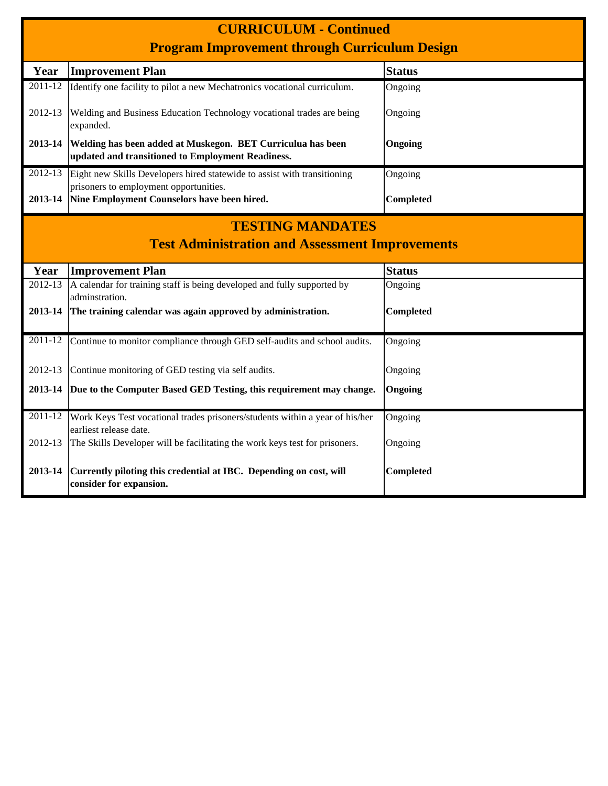|                                                                                   | <b>CURRICULUM - Continued</b><br><b>Program Improvement through Curriculum Design</b>                            |                  |  |  |  |  |  |  |
|-----------------------------------------------------------------------------------|------------------------------------------------------------------------------------------------------------------|------------------|--|--|--|--|--|--|
| Year                                                                              | <b>Improvement Plan</b>                                                                                          | <b>Status</b>    |  |  |  |  |  |  |
| $2011 - 12$                                                                       | Identify one facility to pilot a new Mechatronics vocational curriculum.                                         | Ongoing          |  |  |  |  |  |  |
| 2012-13                                                                           | Welding and Business Education Technology vocational trades are being<br>expanded.                               | Ongoing          |  |  |  |  |  |  |
| 2013-14                                                                           | Welding has been added at Muskegon. BET Curriculua has been<br>updated and transitioned to Employment Readiness. | Ongoing          |  |  |  |  |  |  |
| $2012 - 13$                                                                       | Eight new Skills Developers hired statewide to assist with transitioning                                         | Ongoing          |  |  |  |  |  |  |
| 2013-14                                                                           | prisoners to employment opportunities.<br>Nine Employment Counselors have been hired.                            | <b>Completed</b> |  |  |  |  |  |  |
| <b>TESTING MANDATES</b><br><b>Test Administration and Assessment Improvements</b> |                                                                                                                  |                  |  |  |  |  |  |  |
| Year                                                                              | <b>Improvement Plan</b>                                                                                          | <b>Status</b>    |  |  |  |  |  |  |
| 2012-13                                                                           | A calendar for training staff is being developed and fully supported by<br>adminstration.                        | Ongoing          |  |  |  |  |  |  |
| 2013-14                                                                           | The training calendar was again approved by administration.                                                      | Completed        |  |  |  |  |  |  |
| 2011-12                                                                           | Continue to monitor compliance through GED self-audits and school audits.                                        | Ongoing          |  |  |  |  |  |  |
| 2012-13                                                                           | Continue monitoring of GED testing via self audits.                                                              | Ongoing          |  |  |  |  |  |  |
| 2013-14                                                                           | Due to the Computer Based GED Testing, this requirement may change.                                              | Ongoing          |  |  |  |  |  |  |
| 2011-12                                                                           | Work Keys Test vocational trades prisoners/students within a year of his/her<br>earliest release date.           | Ongoing          |  |  |  |  |  |  |
| 2012-13                                                                           | The Skills Developer will be facilitating the work keys test for prisoners.                                      | Ongoing          |  |  |  |  |  |  |
| 2013-14                                                                           | Currently piloting this credential at IBC. Depending on cost, will<br>consider for expansion.                    | Completed        |  |  |  |  |  |  |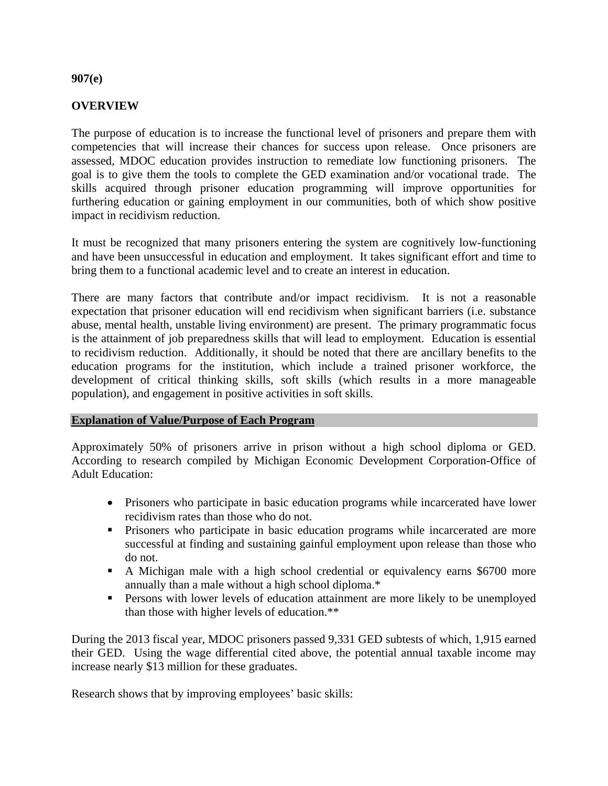#### **907(e)**

#### **OVERVIEW**

The purpose of education is to increase the functional level of prisoners and prepare them with competencies that will increase their chances for success upon release. Once prisoners are assessed, MDOC education provides instruction to remediate low functioning prisoners. The goal is to give them the tools to complete the GED examination and/or vocational trade. The skills acquired through prisoner education programming will improve opportunities for furthering education or gaining employment in our communities, both of which show positive impact in recidivism reduction.

It must be recognized that many prisoners entering the system are cognitively low-functioning and have been unsuccessful in education and employment. It takes significant effort and time to bring them to a functional academic level and to create an interest in education.

There are many factors that contribute and/or impact recidivism. It is not a reasonable expectation that prisoner education will end recidivism when significant barriers (i.e. substance abuse, mental health, unstable living environment) are present. The primary programmatic focus is the attainment of job preparedness skills that will lead to employment. Education is essential to recidivism reduction. Additionally, it should be noted that there are ancillary benefits to the education programs for the institution, which include a trained prisoner workforce, the development of critical thinking skills, soft skills (which results in a more manageable population), and engagement in positive activities in soft skills.

#### **Explanation of Value/Purpose of Each Program**

Approximately 50% of prisoners arrive in prison without a high school diploma or GED. According to research compiled by Michigan Economic Development Corporation-Office of Adult Education:

- Prisoners who participate in basic education programs while incarcerated have lower recidivism rates than those who do not.
- **Prisoners who participate in basic education programs while incarcerated are more** successful at finding and sustaining gainful employment upon release than those who do not.
- A Michigan male with a high school credential or equivalency earns \$6700 more annually than a male without a high school diploma.\*
- **Persons with lower levels of education attainment are more likely to be unemployed** than those with higher levels of education.\*\*

During the 2013 fiscal year, MDOC prisoners passed 9,331 GED subtests of which, 1,915 earned their GED. Using the wage differential cited above, the potential annual taxable income may increase nearly \$13 million for these graduates.

Research shows that by improving employees' basic skills: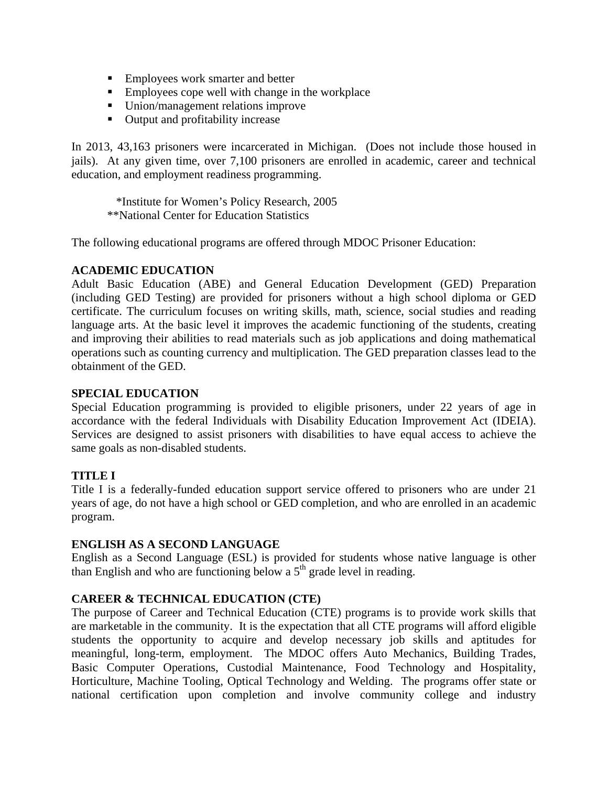- **Employees work smarter and better**
- **Employees cope well with change in the workplace**
- Union/management relations improve
- Output and profitability increase

In 2013, 43,163 prisoners were incarcerated in Michigan. (Does not include those housed in jails). At any given time, over 7,100 prisoners are enrolled in academic, career and technical education, and employment readiness programming.

 \*Institute for Women's Policy Research, 2005 \*\*National Center for Education Statistics

The following educational programs are offered through MDOC Prisoner Education:

#### **ACADEMIC EDUCATION**

Adult Basic Education (ABE) and General Education Development (GED) Preparation (including GED Testing) are provided for prisoners without a high school diploma or GED certificate. The curriculum focuses on writing skills, math, science, social studies and reading language arts. At the basic level it improves the academic functioning of the students, creating and improving their abilities to read materials such as job applications and doing mathematical operations such as counting currency and multiplication. The GED preparation classes lead to the obtainment of the GED.

#### **SPECIAL EDUCATION**

Special Education programming is provided to eligible prisoners, under 22 years of age in accordance with the federal Individuals with Disability Education Improvement Act (IDEIA). Services are designed to assist prisoners with disabilities to have equal access to achieve the same goals as non-disabled students.

#### **TITLE I**

Title I is a federally-funded education support service offered to prisoners who are under 21 years of age, do not have a high school or GED completion, and who are enrolled in an academic program.

#### **ENGLISH AS A SECOND LANGUAGE**

English as a Second Language (ESL) is provided for students whose native language is other than English and who are functioning below a  $5<sup>th</sup>$  grade level in reading.

#### **CAREER & TECHNICAL EDUCATION (CTE)**

The purpose of Career and Technical Education (CTE) programs is to provide work skills that are marketable in the community. It is the expectation that all CTE programs will afford eligible students the opportunity to acquire and develop necessary job skills and aptitudes for meaningful, long-term, employment. The MDOC offers Auto Mechanics, Building Trades, Basic Computer Operations, Custodial Maintenance, Food Technology and Hospitality, Horticulture, Machine Tooling, Optical Technology and Welding. The programs offer state or national certification upon completion and involve community college and industry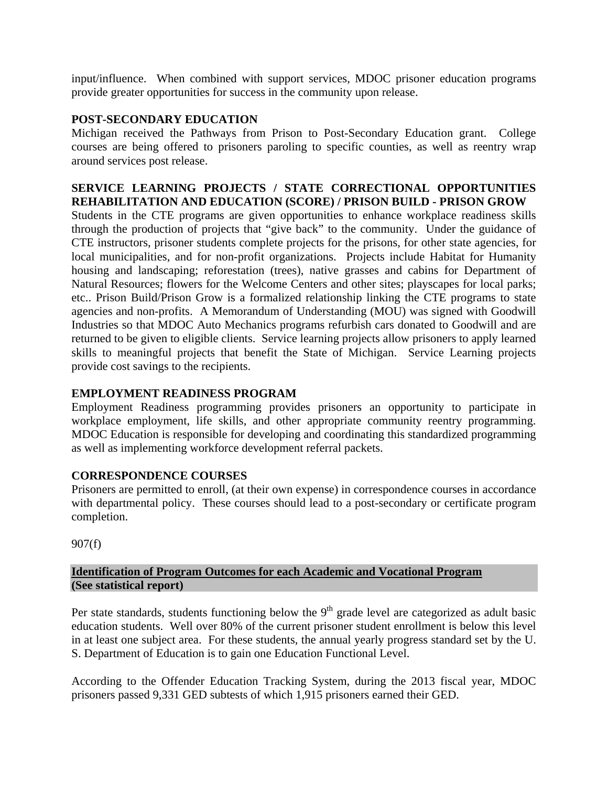input/influence. When combined with support services, MDOC prisoner education programs provide greater opportunities for success in the community upon release.

#### **POST-SECONDARY EDUCATION**

Michigan received the Pathways from Prison to Post-Secondary Education grant. College courses are being offered to prisoners paroling to specific counties, as well as reentry wrap around services post release.

### **SERVICE LEARNING PROJECTS / STATE CORRECTIONAL OPPORTUNITIES REHABILITATION AND EDUCATION (SCORE) / PRISON BUILD - PRISON GROW**

Students in the CTE programs are given opportunities to enhance workplace readiness skills through the production of projects that "give back" to the community. Under the guidance of CTE instructors, prisoner students complete projects for the prisons, for other state agencies, for local municipalities, and for non-profit organizations. Projects include Habitat for Humanity housing and landscaping; reforestation (trees), native grasses and cabins for Department of Natural Resources; flowers for the Welcome Centers and other sites; playscapes for local parks; etc.. Prison Build/Prison Grow is a formalized relationship linking the CTE programs to state agencies and non-profits. A Memorandum of Understanding (MOU) was signed with Goodwill Industries so that MDOC Auto Mechanics programs refurbish cars donated to Goodwill and are returned to be given to eligible clients. Service learning projects allow prisoners to apply learned skills to meaningful projects that benefit the State of Michigan. Service Learning projects provide cost savings to the recipients.

### **EMPLOYMENT READINESS PROGRAM**

Employment Readiness programming provides prisoners an opportunity to participate in workplace employment, life skills, and other appropriate community reentry programming. MDOC Education is responsible for developing and coordinating this standardized programming as well as implementing workforce development referral packets.

#### **CORRESPONDENCE COURSES**

Prisoners are permitted to enroll, (at their own expense) in correspondence courses in accordance with departmental policy. These courses should lead to a post-secondary or certificate program completion.

907(f)

#### **Identification of Program Outcomes for each Academic and Vocational Program (See statistical report)**

Per state standards, students functioning below the  $9<sup>th</sup>$  grade level are categorized as adult basic education students. Well over 80% of the current prisoner student enrollment is below this level in at least one subject area. For these students, the annual yearly progress standard set by the U. S. Department of Education is to gain one Education Functional Level.

According to the Offender Education Tracking System, during the 2013 fiscal year, MDOC prisoners passed 9,331 GED subtests of which 1,915 prisoners earned their GED.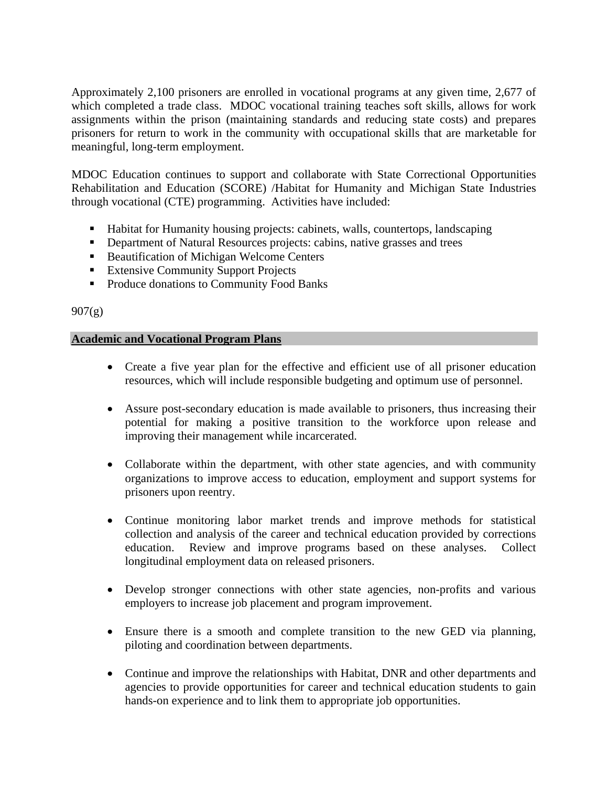Approximately 2,100 prisoners are enrolled in vocational programs at any given time, 2,677 of which completed a trade class. MDOC vocational training teaches soft skills, allows for work assignments within the prison (maintaining standards and reducing state costs) and prepares prisoners for return to work in the community with occupational skills that are marketable for meaningful, long-term employment.

MDOC Education continues to support and collaborate with State Correctional Opportunities Rehabilitation and Education (SCORE) /Habitat for Humanity and Michigan State Industries through vocational (CTE) programming. Activities have included:

- Habitat for Humanity housing projects: cabinets, walls, countertops, landscaping
- **•** Department of Natural Resources projects: cabins, native grasses and trees
- Beautification of Michigan Welcome Centers
- **Extensive Community Support Projects**
- **Produce donations to Community Food Banks**

#### $907(g)$

#### **Academic and Vocational Program Plans**

- Create a five year plan for the effective and efficient use of all prisoner education resources, which will include responsible budgeting and optimum use of personnel.
- Assure post-secondary education is made available to prisoners, thus increasing their potential for making a positive transition to the workforce upon release and improving their management while incarcerated.
- Collaborate within the department, with other state agencies, and with community organizations to improve access to education, employment and support systems for prisoners upon reentry.
- Continue monitoring labor market trends and improve methods for statistical collection and analysis of the career and technical education provided by corrections education. Review and improve programs based on these analyses. Collect longitudinal employment data on released prisoners.
- Develop stronger connections with other state agencies, non-profits and various employers to increase job placement and program improvement.
- Ensure there is a smooth and complete transition to the new GED via planning, piloting and coordination between departments.
- Continue and improve the relationships with Habitat, DNR and other departments and agencies to provide opportunities for career and technical education students to gain hands-on experience and to link them to appropriate job opportunities.